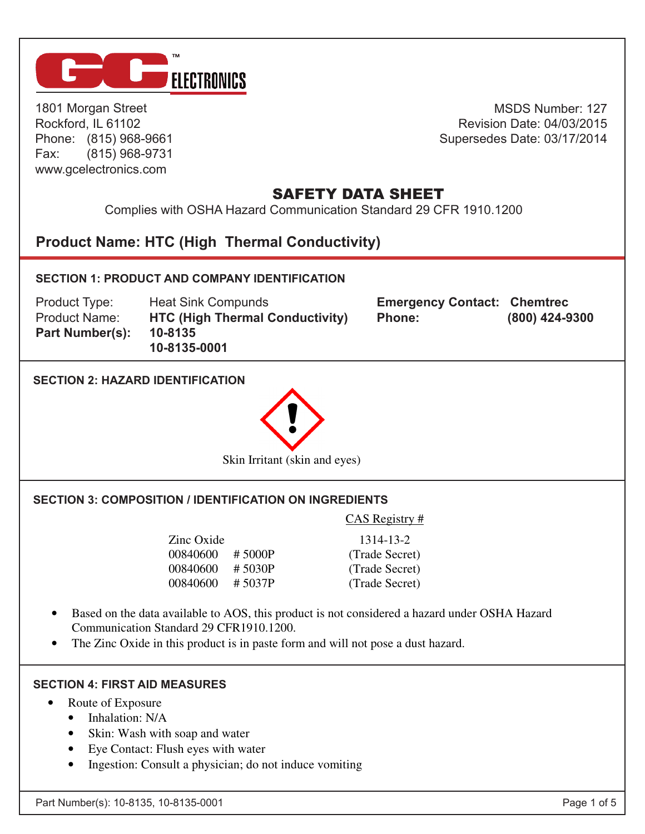

1801 Morgan Street Rockford, IL 61102 Phone: (815) 968-9661 Fax: (815) 968-9731 www.gcelectronics.com

MSDS Number: 127 Revision Date: 04/03/2015 Supersedes Date: 03/17/2014

# **SAFETY DATA SHEET AOS Silicone HTC**

Complies with OSHA Hazard Communication Standard 29 CFR 1910.1200

#### **Product Name: HTC (High Thermal Conductivity) n** Thermal Conductivity) and the real proposition of  $\mathbb{R}$



### **SECTION 4: FIRST AID MEASURES**

- Route of Exposure
	- Inhalation: N/A
	- Skin: Wash with soap and water
	- Eye Contact: Flush eyes with water
	- Ingestion: Consult a physician; do not induce vomiting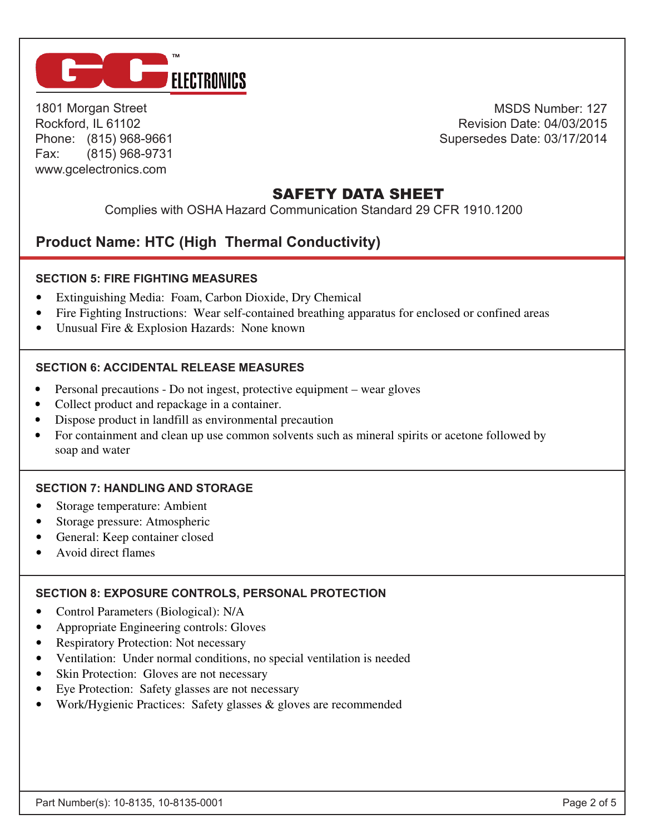

1801 Morgan Street Rockford, IL 61102 Phone: (815) 968-9661<br>Few (815) 968-9731 Fax: (815) 968-9731 www.gcelectronics.com 5-809 (15) Pax:<br>سور Eax: ۳۰۰۰ مارچ w.gcelectronics.co / IO I 3) 900-91.<br>موجود 1000-001 w.gcelectronics.com<br>-

MSDS Number: 127 Revision Date: 04/03/2015 Supersedes Date: 03/17/2014

# **SAFETY DATA SHEET**

Complies with OSHA Hazard Communication Standard 29 CFR 1910.1200 • Ingestion: Consult a physician; do not induce vomiting **SECTION FIGLATE SECTION SECTION SECTION SECTION** 

#### **Product Name: HTC (High Thermal Conductivity) SECTION 5: FIRE FIGHTING SECTION 5: FIGHT SECTION 5: Fire Fighting Measures**  Product Name: HTC (High Thermal Conductivit

### **SECTION 5: FIRE FIGHTING MEASURES SECTION 5: Fire Fighting Measures**

• Extinguishing Media: Foam, Carbon Dioxide, Dry Chemical

• Extinguishing Media: Foam, Carbon Dioxide, Dry Chemical

• Fire Fighting Instructions: Wear self-contained breathing apparatus for enclosed or confined areas

 $\mathbf{F}_{\mathbf{F}}$  is the Fighting Instructions: Wear self-contained approximations:  $\mathbf{F}_{\mathbf{F}}$ 

• Unusual Fire & Explosion Hazards: None known **SECTION 6: Accidental Release Measures**

#### **SECTION 6: Accidental Release Measures SECTION 6: Accidental Release Measures** SECTION 6: ACCIDENTAL RELEASE MEASURES  $\mathcal{P}_\text{p}$  - Do not ingest, precautions  $\mathcal{P}_\text{p}$  and  $\mathcal{P}_\text{p}$  and  $\mathcal{P}_\text{p}$  and  $\mathcal{P}_\text{p}$  and  $\mathcal{P}_\text{p}$

- Personal precautions Do not ingest, protective equipment wear gloves
- Collect product and repackage in a container.
- Dispose product in landfill as environmental precaution
- For containment and clean up use common solvents such as mineral spirits or acetone followed by soap and water and common solvents such as mineral spirits such as mineral spirits or acetone for acetone for acetone for acetone for acetone for acetone for acetone for acetone for acetone for acetone for acetone for acet

#### **SECTION 7: Handling and Storage SECTION 7: Handling and Storage SECTION 7: HANDLING AND STORAGE**

- **SECTION 7: SECTION 7: AND STORAGE** • Storage temperature: Ambient
- Storage pressure: Atmospheric
- General: Keep container closed

• General: Keep container closed

• Avoid direct flames • Avoid direct flames

soap and water

#### e COTION DIE VOORLIE **SECTION 8: Exposure Controls, Personal Protection SECTION 8: Exposure Controls, Personal Protection SECTION 8: EXPOSURE CONTROLS, PERSONAL PROTECTION**

- Control Parameters (Biological): N/A
- Appropriate Engineering controls: Gloves
- Respiratory Protection: Not necessary
- Ventilation: Under normal conditions, no special ventilation is needed
- Skin Protection: Gloves are not necessary
- Eye Protection: Safety glasses are not necessary
- Work/Hygienic Practices: Safety glasses & gloves are recommended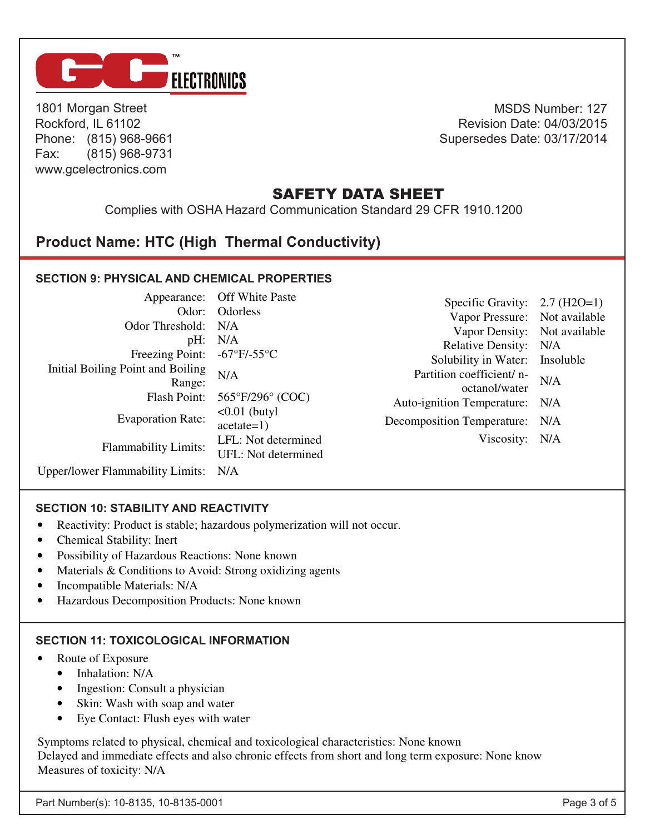

1801 Morgan Street Rockford, IL 61102 Phone: (815) 968-9661 Fax: (815) 968-9731 www.gcelectronics.com

MSDS Number: 127 Revision Date: 04/03/2015 Supersedes Date: 03/17/2014

> **Contract Contract Contract Contract**

**Contract Contract** the contract of the contract of

and the state of the and the state of the state

## **SAFETY DATA SHEET**

Complies with OSHA Hazard Communication Standard 29 CFR 1910.1200

**SECTION 9: Physical and Chemical Properties** 

# **Product Name: HTC (High Thermal Conductivity)**

#### **SECTION 9: PHYSICAL AND CHEMICAL PROPERTIES SECTION 9: Physical and Chemical Properties**  Appearance: Off White Paste Appearance: Off White Paste ODORLAND **NL AND CHEMIC SECTION 9: Physical and Chemical Properties**

| Odor Threshold: N/A<br>Initial Boiling Point and Boiling<br>Range:<br>Flash Point:<br><b>Evaporation Rate:</b><br><b>Flammability Limits:</b><br>Upper/lower Flammability Limits: N/A | Appearance: Off White Paste<br>Odor: Odorless<br>pH: N/A<br>Freezing Point: $-67^{\circ}F/-55^{\circ}C$<br>N/A<br>$565^{\circ}F/296^{\circ}$ (COC)<br>$\leq 0.01$ (butyl)<br>$acetate=1)$<br>LFL: Not determined<br>UFL: Not determined | Specific Gravity: $2.7 \text{ (H2O=1)}$<br>Vapor Pressure: Not available<br>Vapor Density: Not available<br>Relative Density: N/A<br>Solubility in Water: Insoluble<br>Partition coefficient/ n-<br>octanol/water<br>Auto-ignition Temperature: N/A<br>Decomposition Temperature: N/A<br>Viscosity: N/A | N/A |
|---------------------------------------------------------------------------------------------------------------------------------------------------------------------------------------|-----------------------------------------------------------------------------------------------------------------------------------------------------------------------------------------------------------------------------------------|---------------------------------------------------------------------------------------------------------------------------------------------------------------------------------------------------------------------------------------------------------------------------------------------------------|-----|
|---------------------------------------------------------------------------------------------------------------------------------------------------------------------------------------|-----------------------------------------------------------------------------------------------------------------------------------------------------------------------------------------------------------------------------------------|---------------------------------------------------------------------------------------------------------------------------------------------------------------------------------------------------------------------------------------------------------------------------------------------------------|-----|

### **SECTION 10: STABILITY AND REACTIVITY SECTION 10: Stability and Reactivity**

- y: Product is stable; hazardous polymerization will not occur.<br>Reakility: Inort • Reactivity: Product is stable; haze • Reactivity: Product is stable; hazardous polymerization will not occur.<br>• Chamical Stability: Inort
- Chemical Stability: Inert
- Chemical Stability: Inert<br>• Possibility of Hazardous Reactions: None known y of Hazardous Reactions: None known<br>excluding to Avoid: Strong original agents III's of Hazardous Reactions: None known<br>ble & Conditions to Avoid: Strong originals agents
- ex Conditions to Avoid: Strong oxidizing agents<br>ible Meterials: N/A • Possibility of Hazardous Reactions: N<br>• Materials & Conditions to Avoid: Stre eriais & Conditions to Avoid: Strong oxidizing agents<br>mostility Meterials: N/A • Materials  $&$  Conditions to Avoid: Strong oxidizing agents  $\bullet$  Incorportible Meterials: N/A
- Incompatible Materials: N/A
- filte Materials: N/A<br>https://www.patition.products: None is Decomposition Products: None known valude Materials: IVA<br>https://www.patition.products: Nov • Hazardous Decomposition Products: None known • Hazardous Decomposition Products: None known

## **SECTION 11: Toxicological Information SECTION 11: Toxicological Information SECTION 11: TOXICOLOGICAL INFORMATION**

- Route of Exposure
- Inhalation: N/A
	- Ingestion: Consult a physician
	- Ingestion: Consult a physician<br>• Skin: Wash with soap and water
	- of with soap and water<br>act: Flush eves with water  $\alpha$ . The sheap and water water •  $E_y = 1$  Eye Contact: Flush eyes with water • Eye Contact: Flush eyes with water

Symptoms related to physical, chemical and toxicological characteristics: None known Measures of toxicity:  $N/A$ Symptoms related to physical, chemical and toxicological characteristics. None Delayed and immediate effects and also chronic effects from short and long term exposure: None know Delayed and immediate effects and also chronic effects from short and long term exposure: None know Symptoms relative to physical and the chemical characteristics: None characteristics: None characteristics: None Delayed and immediate effects and also chronic effects from short and long term exposure: None know

**SECTION 12: Ecological Information** 

Delayed and immediate effects and also chronic effects from short and long term exposure: None know

Delayed and immediate effects and also chronic effects from short and long term exposure: None know

**SECTION 11: Toxicological Information**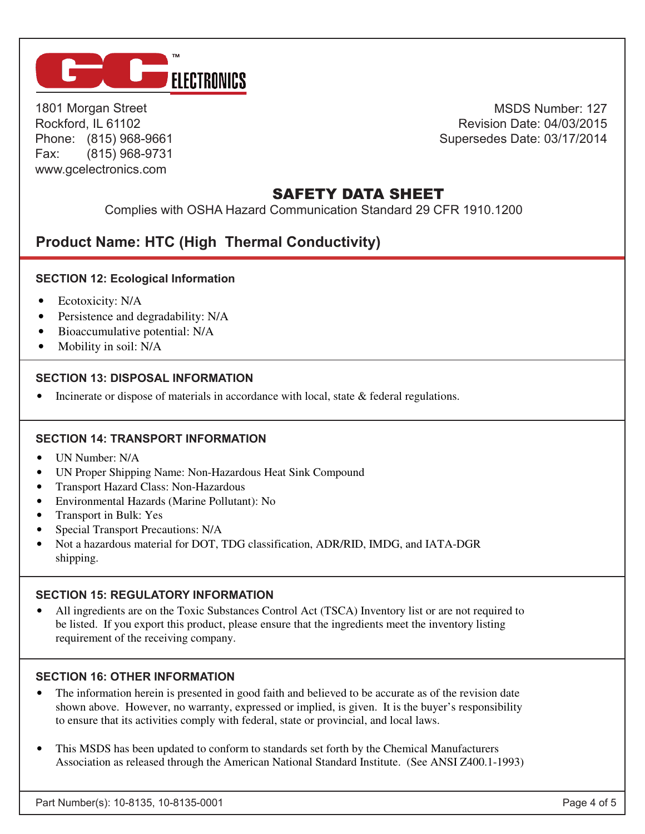

• Hazardous Decomposition Products: None known

1801 Morgan Street Rockford, IL 61102 Phone: (815) 968-9661 Fax: (815) 968-9731 www.gcelectronics.com

MSDS Number: 127 Revision Date: 04/03/2015 Supersedes Date: 03/17/2014

a sa kacamatan ing Kabupatèn Bandaran Ing Kabupatèn Bandaran Ing Kabupatèn Bandaran Ing Kabupatèn Bandaran Ing<br>Kabupatèn

# **MATERIAL SAFETY DATA SHEET**

| Complies with OSHA Hazard Communication Standard 29 CFR 1910.1200

## **Product Name: HTC (High Thermal Conductivity)** Measures of toxicity: N/A

#### **SECTION 12: Ecological Information SECTION 12: Ecological Information**

- Ecotoxicity: N/A
- Persistence and degradability: N/A
- Bioaccumulative potential: N/A
- Bioaceaniana ve poenials in  $V/A$   $\blacksquare$

#### **SECTION 13: DISPOSAL INFORMATION SECTION 13: Disposal Information** • Incinerate or dispose of materials in accordance with local, state & federal regulations. **SECTION 14: TRANSPORT INFORMATION**

**AOS Thermal Compounds**  • Incinerate or dispose of materials in accordance with local, state & federal regulations. • Incinerate or dispose of materials in accordance with local, state & federal regulations.

**SECTION 13: Disposal Information**

Tel. (732)389-5514 *22 Meridian Road, Suite 6, Eatontown, NJ 07724* Fax (732)389-6380

#### **SECTION 14: TRANSPORT INFORMATION SECTION 14: Transport Information SECTION 14: Transport Information**  SECTION 14: TRANSPORT INFORMATI • UN Proper Shipping Name: Non-Hazardous Heat Sink Compound

- UN Number: N/A
- UN Proper Shipping Name: Non-Hazardous Heat Sink Compound
- UN Proper Simplying Name: Non-Hazardous Heat Sink Compound Transport Hazard Class: Non-Hazardous
- Transport Hazard Class. Non-Hazardous<br>• Environmentel Hezerde (Merine Dolluten • Environmental Hazards (Marine I officially, No<br>• Transport in Rulle Vos • Environmental Hazards (Marine Pollutant): No
- Transport in Bulk: Yes
- Transport in Bulk: Tes<br>• Special Transport Precautions: N/A
- Special Transport Precautions: N/A<br>• Not a bazardous material for DOT 7 • Not a hazardous material for DOT, TDG classification, ADR/RID, IMDG, and IATA-DGR  $\mathbf{r}$ • Not a hazardous material for DOT, TDG classification, ADR/RID, IMDG, and IATA-DGR shipping. **SECTION 15: Regulation** 15: **Property** Information, **Property**

#### **SECTION 15: REGULATORY INFORMATION SECTION 15: Regulatory Information**  $\sim$  All ingredients are on the Toxic Substances Control Act (TSCA) in  $\sim$  are not required to  $\sim$

• All ingredients are on the Toxic Substances Control Act (TSCA) Inventory list or are not required to requirement of the receiving company. be listed. If you export this product, please ensure that the ingredients meet the inventory listing

### **SECTION 16: OTHER INFORMATION**

requirement of the receiving company.

- to ensure that its activities comply with federal, state or provincial, and local laws. shown above. However, no warranty, expressed or implied, is given. It is the buyer's responsibility • The information herein is presented in good faith and believed to be accurate as of the revision date
- This MSDS has been updated to conform to standards set forth by the Chemical Manufacturers Association as released through the American National Standard Institute. (See ANSI Z400.1-1993)  $\mathbb{P}^1$  is property is presented in good faith and believed to be accurate as of the revision date as of the revision date as of the revision date as of the revision date as of the revision date as of the revision date This MSDS has been updated to conform to standards set forth by the Chemical Manufacturers

 $A$ ssociation as released through the American National Standard Institute. (See ANSI  $\alpha$